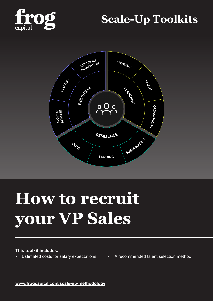

# **Scale-Up Toolkits**



# **How to recruit your VP Sales**

#### **This toolkit includes:**

- 
- Estimated costs for salary expectations A recommended talent selection method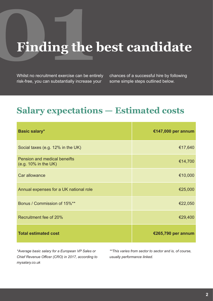# **Finding the best candidate**

Whilst no recruitment exercise can be entirely risk-free, you can substantially increase your

chances of a successful hire by following some simple steps outlined below.

# **Salary expectations — Estimated costs**

| <b>Basic salary*</b>                                           | €147,000 per annum |
|----------------------------------------------------------------|--------------------|
| Social taxes (e.g. 12% in the UK)                              | €17,640            |
| <b>Pension and medical beneifts</b><br>$(e.g. 10\%$ in the UK) | €14,700            |
| Car allowance                                                  | €10,000            |
| Annual expenses for a UK national role                         | €25,000            |
| Bonus / Commission of 15%**                                    | €22,050            |
| Recruitment fee of 20%                                         | €29,400            |
| <b>Total estimated cost</b>                                    | €265,790 per annum |

*\*Average basic salary for a European VP Sales or Chief Revenue Officer (CRO) in 2017, according to mysalary.co.uk*

*\*\*This varies from sector to sector and is, of course, usually performance linked.*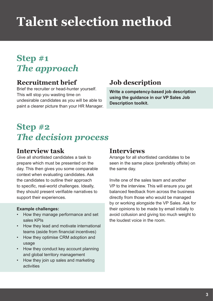# **Talent selection method**

# **Step #1** *The approach*

### **Recruitment brief**

Brief the recruiter or head-hunter yourself. This will stop you wasting time on undesirable candidates as you will be able to paint a clearer picture than your HR Manager.

## **Job description**

**Write a competency-based job description using the guidance in our VP Sales Job Description toolkit.**

# **Step #2** *The decision process*

### **Interview task**

Give all shortlisted candidates a task to prepare which must be presented on the day. This then gives you some comparable context when evaluating candidates. Ask the candidates to outline their approach to specific, real-world challenges. Ideally, they should present verifiable narratives to support their experiences.

#### **Example challenges:**

- How they manage performance and set sales KPIs
- How they lead and motivate international teams (aside from financial incentives)
- How they optimise CRM adoption and usage
- How they conduct key account planning and global territory management
- How they join up sales and marketing activities

### **Interviews**

Arrange for all shortlisted candidates to be seen in the same place (preferably offsite) on the same day.

Invite one of the sales team and another VP to the interview. This will ensure you get balanced feedback from across the business directly from those who would be managed by or working alongside the VP Sales. Ask for their opinions to be made by email initially to avoid collusion and giving too much weight to the loudest voice in the room.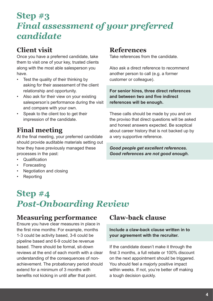# **Step #3** *Final assessment of your preferred candidate*

## **Client visit**

Once you have a preferred candidate, take them to visit one of your key, trusted clients along with the most able salesperson you have.

- Test the quality of their thinking by asking for their assessment of the client relationship and opportunity.
- Also ask for their view on your existing salesperson's performance during the visit and compare with your own.
- Speak to the client too to get their impression of the candidate.

## **Final meeting**

At the final meeting, your preferred candidate should provide auditable materials setting out how they have previously managed these processes in the past:

- Qualification
- **Forecasting**
- Negotiation and closing
- **Reporting**

# **Step #4** *Post-Onboarding Review*

### **Measuring performance**

Ensure you have clear measures in place in the first nine months: For example, months 1-3 could be activity based, 3-6 could be pipeline based and 6-9 could be revenue based. There should be formal, sit-down reviews at the end of each month with a clear understanding of the consequences of nonachievement. The probationary period should extend for a minimum of 3 months with benefits not kicking in until after that point.

### **References**

Take references from the candidate.

Also ask a direct reference to recommend another person to call (e.g. a former customer or colleague).

**For senior hires, three direct references and between two and five indirect references will be enough.**

These calls should be made by you and on the proviso that direct questions will be asked and honest answers expected. Be sceptical about career history that is not backed up by a very supportive reference.

*Good people get excellent references. Good references are not good enough.*

## **Claw-back clause**

**Include a claw-back clause written in to your agreement with the recruiter.**

If the candidate doesn't make it through the first 3 months, a full rebate or 100% discount on the next appointment should be triggered. You should feel a majorly positive impact within weeks. If not, you're better off making a tough decision quickly.